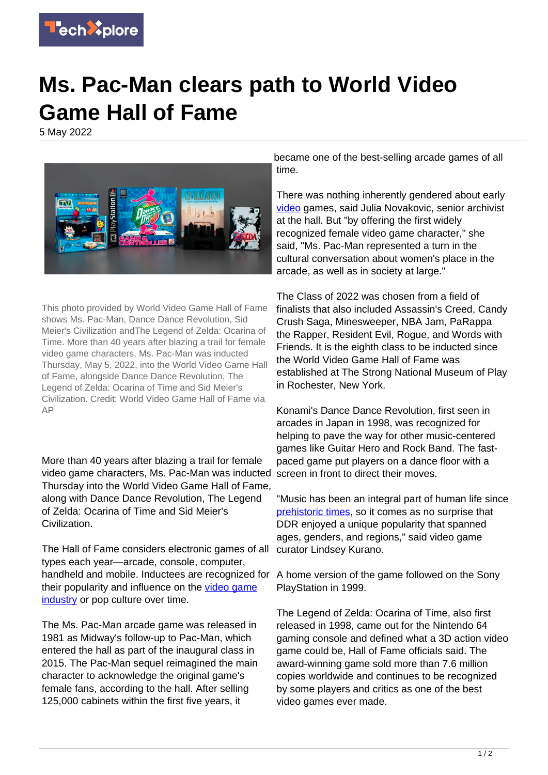

## **Ms. Pac-Man clears path to World Video Game Hall of Fame**

5 May 2022



This photo provided by World Video Game Hall of Fame shows Ms. Pac-Man, Dance Dance Revolution, Sid Meier's Civilization andThe Legend of Zelda: Ocarina of Time. More than 40 years after blazing a trail for female video game characters, Ms. Pac-Man was inducted Thursday, May 5, 2022, into the World Video Game Hall of Fame, alongside Dance Dance Revolution, The Legend of Zelda: Ocarina of Time and Sid Meier's Civilization. Credit: World Video Game Hall of Fame via AP

More than 40 years after blazing a trail for female video game characters, Ms. Pac-Man was inducted Thursday into the World Video Game Hall of Fame, along with Dance Dance Revolution, The Legend of Zelda: Ocarina of Time and Sid Meier's Civilization.

The Hall of Fame considers electronic games of all types each year—arcade, console, computer, handheld and mobile. Inductees are recognized for A home version of the game followed on the Sony their popularity and influence on the [video game](https://techxplore.com/tags/video+game+industry/) [industry](https://techxplore.com/tags/video+game+industry/) or pop culture over time.

The Ms. Pac-Man arcade game was released in 1981 as Midway's follow-up to Pac-Man, which entered the hall as part of the inaugural class in 2015. The Pac-Man sequel reimagined the main character to acknowledge the original game's female fans, according to the hall. After selling 125,000 cabinets within the first five years, it

became one of the best-selling arcade games of all time.

There was nothing inherently gendered about early [video](https://techxplore.com/tags/video/) games, said Julia Novakovic, senior archivist at the hall. But "by offering the first widely recognized female video game character," she said, "Ms. Pac-Man represented a turn in the cultural conversation about women's place in the arcade, as well as in society at large."

The Class of 2022 was chosen from a field of finalists that also included Assassin's Creed, Candy Crush Saga, Minesweeper, NBA Jam, PaRappa the Rapper, Resident Evil, Rogue, and Words with Friends. It is the eighth class to be inducted since the World Video Game Hall of Fame was established at The Strong National Museum of Play in Rochester, New York.

Konami's Dance Dance Revolution, first seen in arcades in Japan in 1998, was recognized for helping to pave the way for other music-centered games like Guitar Hero and Rock Band. The fastpaced game put players on a dance floor with a screen in front to direct their moves.

"Music has been an integral part of human life since [prehistoric times,](https://techxplore.com/tags/prehistoric+times/) so it comes as no surprise that DDR enjoyed a unique popularity that spanned ages, genders, and regions," said video game curator Lindsey Kurano.

PlayStation in 1999.

The Legend of Zelda: Ocarina of Time, also first released in 1998, came out for the Nintendo 64 gaming console and defined what a 3D action video game could be, Hall of Fame officials said. The award-winning game sold more than 7.6 million copies worldwide and continues to be recognized by some players and critics as one of the best video games ever made.